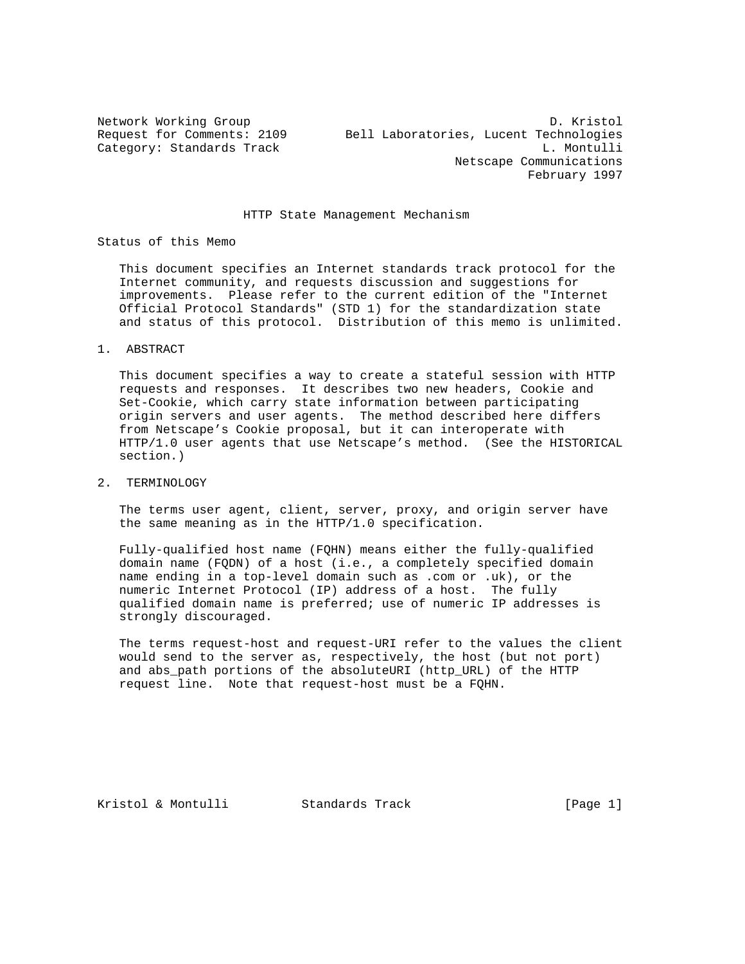## HTTP State Management Mechanism

Status of this Memo

 This document specifies an Internet standards track protocol for the Internet community, and requests discussion and suggestions for improvements. Please refer to the current edition of the "Internet Official Protocol Standards" (STD 1) for the standardization state and status of this protocol. Distribution of this memo is unlimited.

1. ABSTRACT

 This document specifies a way to create a stateful session with HTTP requests and responses. It describes two new headers, Cookie and Set-Cookie, which carry state information between participating origin servers and user agents. The method described here differs from Netscape's Cookie proposal, but it can interoperate with HTTP/1.0 user agents that use Netscape's method. (See the HISTORICAL section.)

2. TERMINOLOGY

 The terms user agent, client, server, proxy, and origin server have the same meaning as in the HTTP/1.0 specification.

 Fully-qualified host name (FQHN) means either the fully-qualified domain name (FQDN) of a host (i.e., a completely specified domain name ending in a top-level domain such as .com or .uk), or the numeric Internet Protocol (IP) address of a host. The fully qualified domain name is preferred; use of numeric IP addresses is strongly discouraged.

 The terms request-host and request-URI refer to the values the client would send to the server as, respectively, the host (but not port) and abs\_path portions of the absoluteURI (http\_URL) of the HTTP request line. Note that request-host must be a FQHN.

Kristol & Montulli Standards Track [Page 1]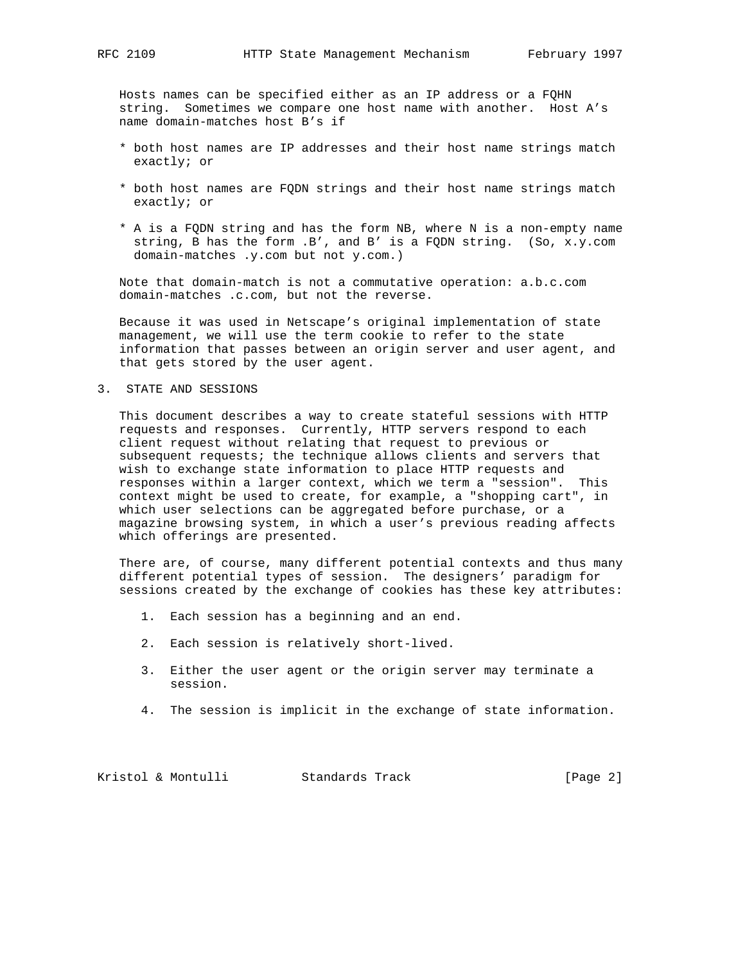Hosts names can be specified either as an IP address or a FQHN string. Sometimes we compare one host name with another. Host A's name domain-matches host B's if

- \* both host names are IP addresses and their host name strings match exactly; or
- \* both host names are FQDN strings and their host name strings match exactly; or
- \* A is a FQDN string and has the form NB, where N is a non-empty name string, B has the form .B', and B' is a FQDN string. (So, x.y.com domain-matches .y.com but not y.com.)

 Note that domain-match is not a commutative operation: a.b.c.com domain-matches .c.com, but not the reverse.

 Because it was used in Netscape's original implementation of state management, we will use the term cookie to refer to the state information that passes between an origin server and user agent, and that gets stored by the user agent.

### 3. STATE AND SESSIONS

 This document describes a way to create stateful sessions with HTTP requests and responses. Currently, HTTP servers respond to each client request without relating that request to previous or subsequent requests; the technique allows clients and servers that wish to exchange state information to place HTTP requests and responses within a larger context, which we term a "session". This context might be used to create, for example, a "shopping cart", in which user selections can be aggregated before purchase, or a magazine browsing system, in which a user's previous reading affects which offerings are presented.

 There are, of course, many different potential contexts and thus many different potential types of session. The designers' paradigm for sessions created by the exchange of cookies has these key attributes:

- 1. Each session has a beginning and an end.
- 2. Each session is relatively short-lived.
- 3. Either the user agent or the origin server may terminate a session.
- 4. The session is implicit in the exchange of state information.

Kristol & Montulli Standards Track [Page 2]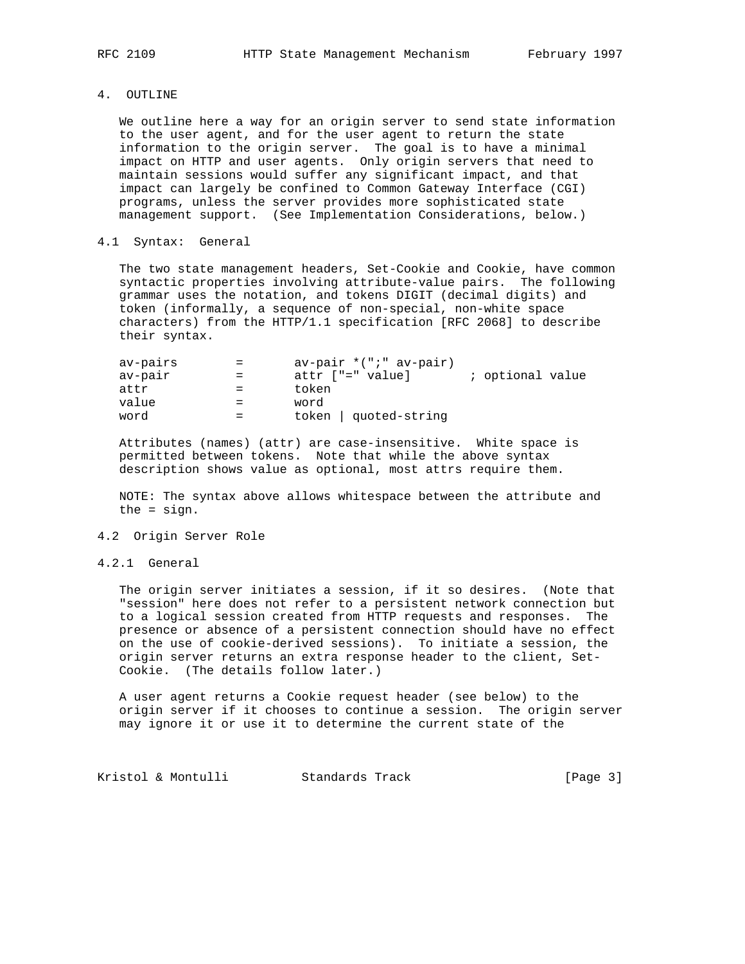4. OUTLINE

 We outline here a way for an origin server to send state information to the user agent, and for the user agent to return the state information to the origin server. The goal is to have a minimal impact on HTTP and user agents. Only origin servers that need to maintain sessions would suffer any significant impact, and that impact can largely be confined to Common Gateway Interface (CGI) programs, unless the server provides more sophisticated state management support. (See Implementation Considerations, below.)

### 4.1 Syntax: General

 The two state management headers, Set-Cookie and Cookie, have common syntactic properties involving attribute-value pairs. The following grammar uses the notation, and tokens DIGIT (decimal digits) and token (informally, a sequence of non-special, non-white space characters) from the HTTP/1.1 specification [RFC 2068] to describe their syntax.

| av-pairs | $=$ | $av-pair * (";" av-pair)$ |                  |
|----------|-----|---------------------------|------------------|
| av-pair  | $=$ | attr ["=" value]          | ; optional value |
| attr     |     | token                     |                  |
| value    |     | word                      |                  |
| word     |     | token   quoted-string     |                  |

 Attributes (names) (attr) are case-insensitive. White space is permitted between tokens. Note that while the above syntax description shows value as optional, most attrs require them.

 NOTE: The syntax above allows whitespace between the attribute and the = sign.

### 4.2 Origin Server Role

4.2.1 General

 The origin server initiates a session, if it so desires. (Note that "session" here does not refer to a persistent network connection but to a logical session created from HTTP requests and responses. The presence or absence of a persistent connection should have no effect on the use of cookie-derived sessions). To initiate a session, the origin server returns an extra response header to the client, Set- Cookie. (The details follow later.)

 A user agent returns a Cookie request header (see below) to the origin server if it chooses to continue a session. The origin server may ignore it or use it to determine the current state of the

Kristol & Montulli Standards Track [Page 3]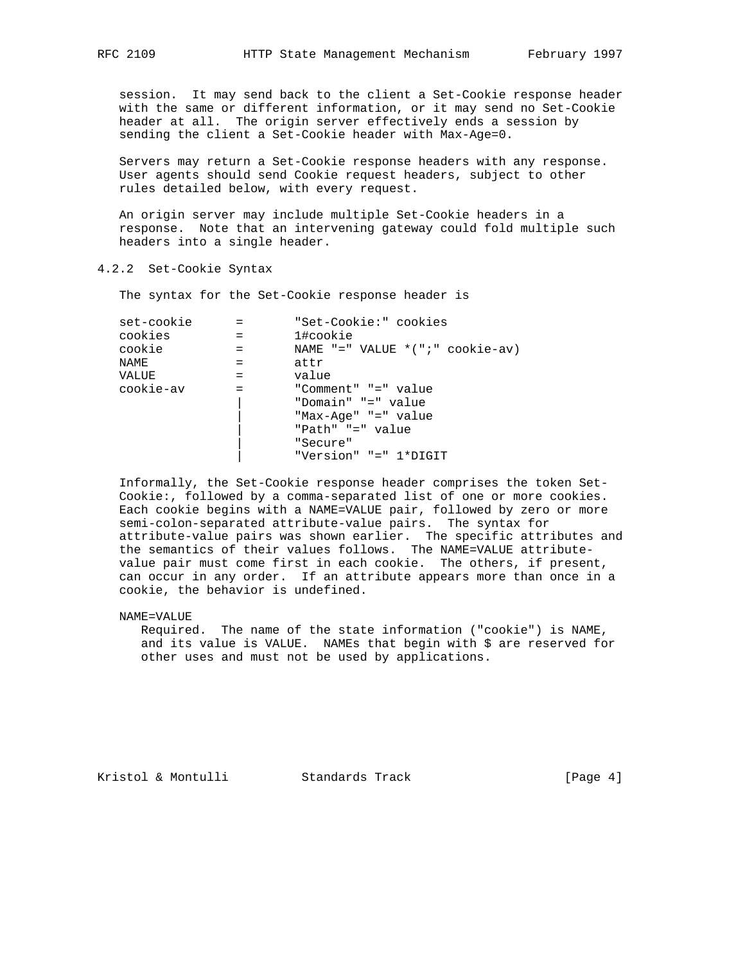session. It may send back to the client a Set-Cookie response header with the same or different information, or it may send no Set-Cookie header at all. The origin server effectively ends a session by sending the client a Set-Cookie header with Max-Age=0.

 Servers may return a Set-Cookie response headers with any response. User agents should send Cookie request headers, subject to other rules detailed below, with every request.

 An origin server may include multiple Set-Cookie headers in a response. Note that an intervening gateway could fold multiple such headers into a single header.

## 4.2.2 Set-Cookie Syntax

The syntax for the Set-Cookie response header is

| set-cookie |     | "Set-Cookie:" cookies                 |
|------------|-----|---------------------------------------|
| cookies    | $=$ | 1#cookie                              |
| cookie     |     | NAME $"="$ VALUE $*(" : " cookie-av)$ |
| NAME       |     | attr                                  |
| VALUE      |     | value                                 |
| cookie-av  |     | "Comment" "=" value                   |
|            |     | "Domain" "=" value                    |
|            |     | "Max-Age" "=" value                   |
|            |     | "Path" "=" value                      |
|            |     | "Secure"                              |
|            |     | "Version" "=" 1*DIGIT                 |
|            |     |                                       |

 Informally, the Set-Cookie response header comprises the token Set- Cookie:, followed by a comma-separated list of one or more cookies. Each cookie begins with a NAME=VALUE pair, followed by zero or more semi-colon-separated attribute-value pairs. The syntax for attribute-value pairs was shown earlier. The specific attributes and the semantics of their values follows. The NAME=VALUE attribute value pair must come first in each cookie. The others, if present, can occur in any order. If an attribute appears more than once in a cookie, the behavior is undefined.

NAME=VALUE

 Required. The name of the state information ("cookie") is NAME, and its value is VALUE. NAMEs that begin with \$ are reserved for other uses and must not be used by applications.

Kristol & Montulli Standards Track [Page 4]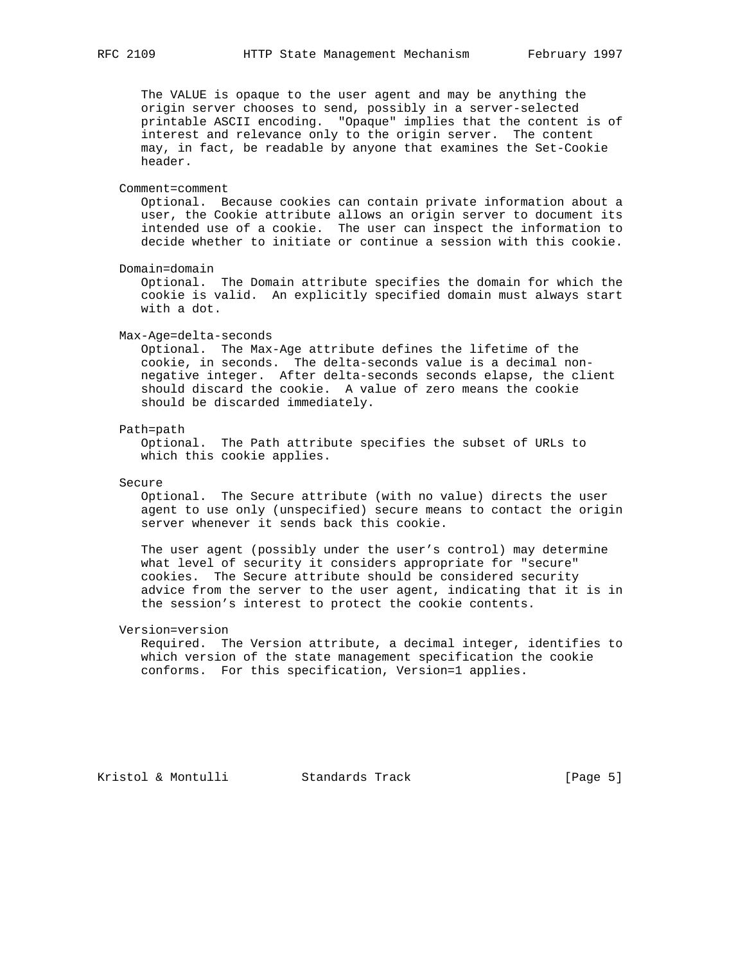The VALUE is opaque to the user agent and may be anything the origin server chooses to send, possibly in a server-selected printable ASCII encoding. "Opaque" implies that the content is of interest and relevance only to the origin server. The content may, in fact, be readable by anyone that examines the Set-Cookie header.

#### Comment=comment

 Optional. Because cookies can contain private information about a user, the Cookie attribute allows an origin server to document its intended use of a cookie. The user can inspect the information to decide whether to initiate or continue a session with this cookie.

Domain=domain

 Optional. The Domain attribute specifies the domain for which the cookie is valid. An explicitly specified domain must always start with a dot.

#### Max-Age=delta-seconds

 Optional. The Max-Age attribute defines the lifetime of the cookie, in seconds. The delta-seconds value is a decimal non negative integer. After delta-seconds seconds elapse, the client should discard the cookie. A value of zero means the cookie should be discarded immediately.

#### Path=path

 Optional. The Path attribute specifies the subset of URLs to which this cookie applies.

### Secure

 Optional. The Secure attribute (with no value) directs the user agent to use only (unspecified) secure means to contact the origin server whenever it sends back this cookie.

 The user agent (possibly under the user's control) may determine what level of security it considers appropriate for "secure" cookies. The Secure attribute should be considered security advice from the server to the user agent, indicating that it is in the session's interest to protect the cookie contents.

### Version=version

 Required. The Version attribute, a decimal integer, identifies to which version of the state management specification the cookie conforms. For this specification, Version=1 applies.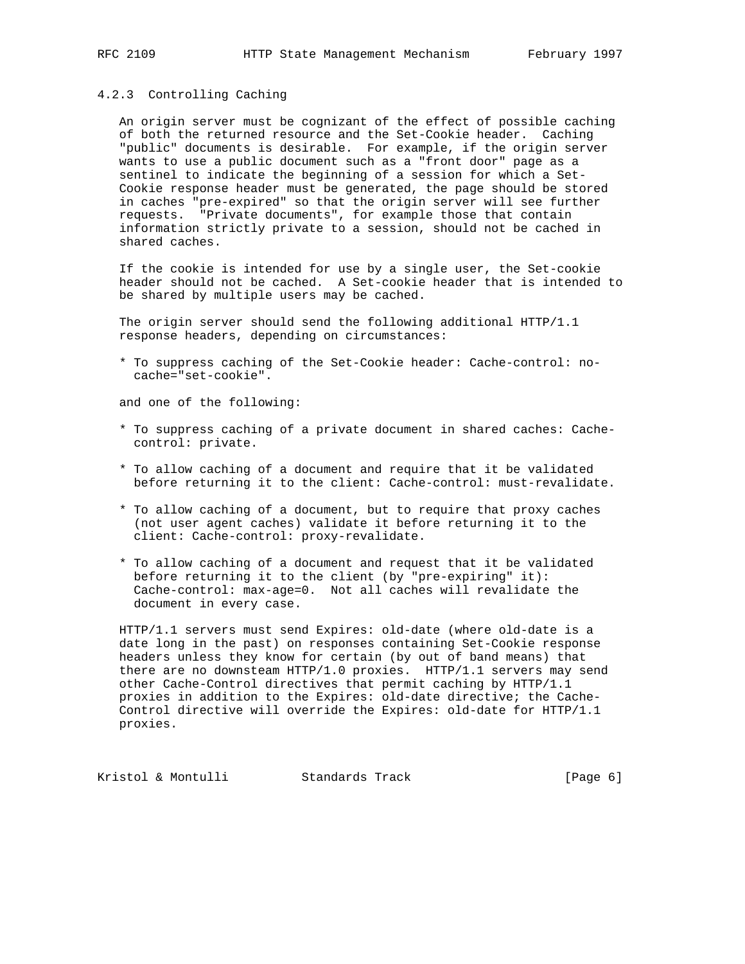### 4.2.3 Controlling Caching

 An origin server must be cognizant of the effect of possible caching of both the returned resource and the Set-Cookie header. Caching "public" documents is desirable. For example, if the origin server wants to use a public document such as a "front door" page as a sentinel to indicate the beginning of a session for which a Set- Cookie response header must be generated, the page should be stored in caches "pre-expired" so that the origin server will see further requests. "Private documents", for example those that contain information strictly private to a session, should not be cached in shared caches.

 If the cookie is intended for use by a single user, the Set-cookie header should not be cached. A Set-cookie header that is intended to be shared by multiple users may be cached.

 The origin server should send the following additional HTTP/1.1 response headers, depending on circumstances:

 \* To suppress caching of the Set-Cookie header: Cache-control: no cache="set-cookie".

and one of the following:

- \* To suppress caching of a private document in shared caches: Cache control: private.
- \* To allow caching of a document and require that it be validated before returning it to the client: Cache-control: must-revalidate.
- \* To allow caching of a document, but to require that proxy caches (not user agent caches) validate it before returning it to the client: Cache-control: proxy-revalidate.
- \* To allow caching of a document and request that it be validated before returning it to the client (by "pre-expiring" it): Cache-control: max-age=0. Not all caches will revalidate the document in every case.

 HTTP/1.1 servers must send Expires: old-date (where old-date is a date long in the past) on responses containing Set-Cookie response headers unless they know for certain (by out of band means) that there are no downsteam HTTP/1.0 proxies. HTTP/1.1 servers may send other Cache-Control directives that permit caching by HTTP/1.1 proxies in addition to the Expires: old-date directive; the Cache- Control directive will override the Expires: old-date for HTTP/1.1 proxies.

Kristol & Montulli Standards Track [Page 6]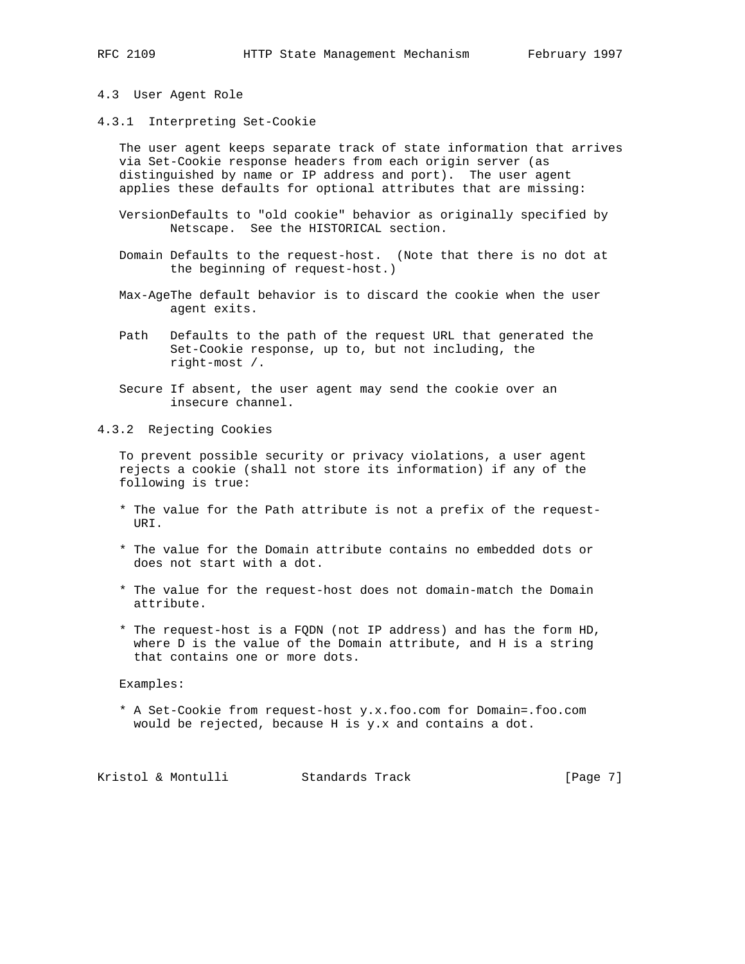- 
- 4.3 User Agent Role
- 4.3.1 Interpreting Set-Cookie

 The user agent keeps separate track of state information that arrives via Set-Cookie response headers from each origin server (as distinguished by name or IP address and port). The user agent applies these defaults for optional attributes that are missing:

- VersionDefaults to "old cookie" behavior as originally specified by Netscape. See the HISTORICAL section.
- Domain Defaults to the request-host. (Note that there is no dot at the beginning of request-host.)
- Max-AgeThe default behavior is to discard the cookie when the user agent exits.
- Path Defaults to the path of the request URL that generated the Set-Cookie response, up to, but not including, the right-most /.
- Secure If absent, the user agent may send the cookie over an insecure channel.

4.3.2 Rejecting Cookies

 To prevent possible security or privacy violations, a user agent rejects a cookie (shall not store its information) if any of the following is true:

- \* The value for the Path attribute is not a prefix of the request- URI.
- \* The value for the Domain attribute contains no embedded dots or does not start with a dot.
- \* The value for the request-host does not domain-match the Domain attribute.
- \* The request-host is a FQDN (not IP address) and has the form HD, where D is the value of the Domain attribute, and H is a string that contains one or more dots.

Examples:

 \* A Set-Cookie from request-host y.x.foo.com for Domain=.foo.com would be rejected, because H is y.x and contains a dot.

Kristol & Montulli Standards Track [Page 7]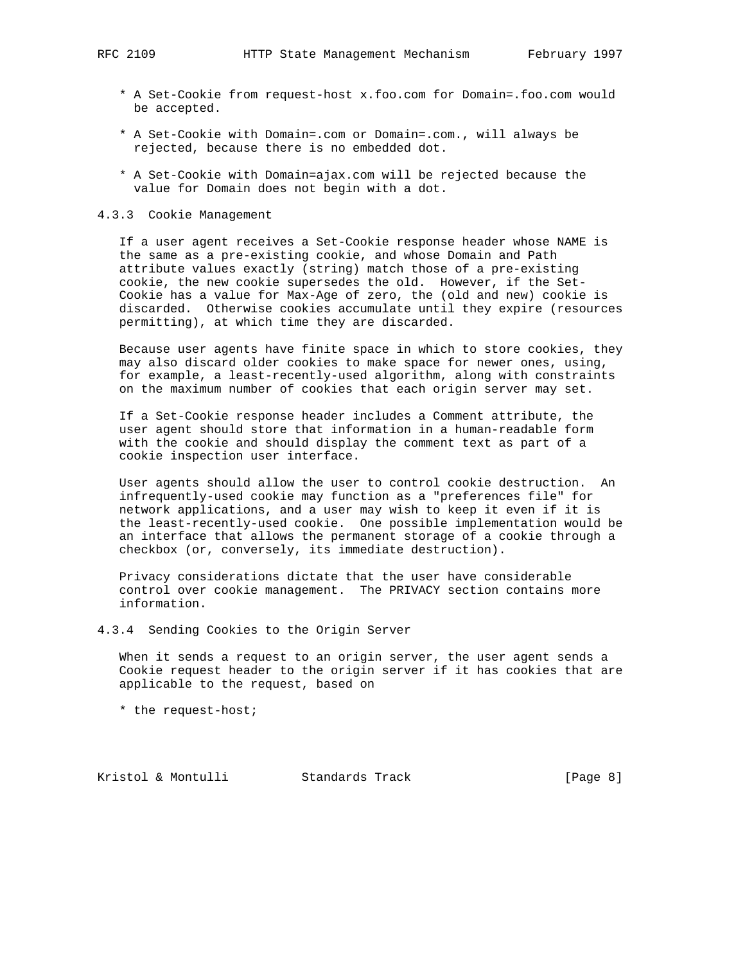- \* A Set-Cookie from request-host x.foo.com for Domain=.foo.com would be accepted.
- \* A Set-Cookie with Domain=.com or Domain=.com., will always be rejected, because there is no embedded dot.
- \* A Set-Cookie with Domain=ajax.com will be rejected because the value for Domain does not begin with a dot.
- 4.3.3 Cookie Management

 If a user agent receives a Set-Cookie response header whose NAME is the same as a pre-existing cookie, and whose Domain and Path attribute values exactly (string) match those of a pre-existing cookie, the new cookie supersedes the old. However, if the Set- Cookie has a value for Max-Age of zero, the (old and new) cookie is discarded. Otherwise cookies accumulate until they expire (resources permitting), at which time they are discarded.

 Because user agents have finite space in which to store cookies, they may also discard older cookies to make space for newer ones, using, for example, a least-recently-used algorithm, along with constraints on the maximum number of cookies that each origin server may set.

 If a Set-Cookie response header includes a Comment attribute, the user agent should store that information in a human-readable form with the cookie and should display the comment text as part of a cookie inspection user interface.

 User agents should allow the user to control cookie destruction. An infrequently-used cookie may function as a "preferences file" for network applications, and a user may wish to keep it even if it is the least-recently-used cookie. One possible implementation would be an interface that allows the permanent storage of a cookie through a checkbox (or, conversely, its immediate destruction).

 Privacy considerations dictate that the user have considerable control over cookie management. The PRIVACY section contains more information.

4.3.4 Sending Cookies to the Origin Server

 When it sends a request to an origin server, the user agent sends a Cookie request header to the origin server if it has cookies that are applicable to the request, based on

\* the request-host;

Kristol & Montulli Standards Track [Page 8]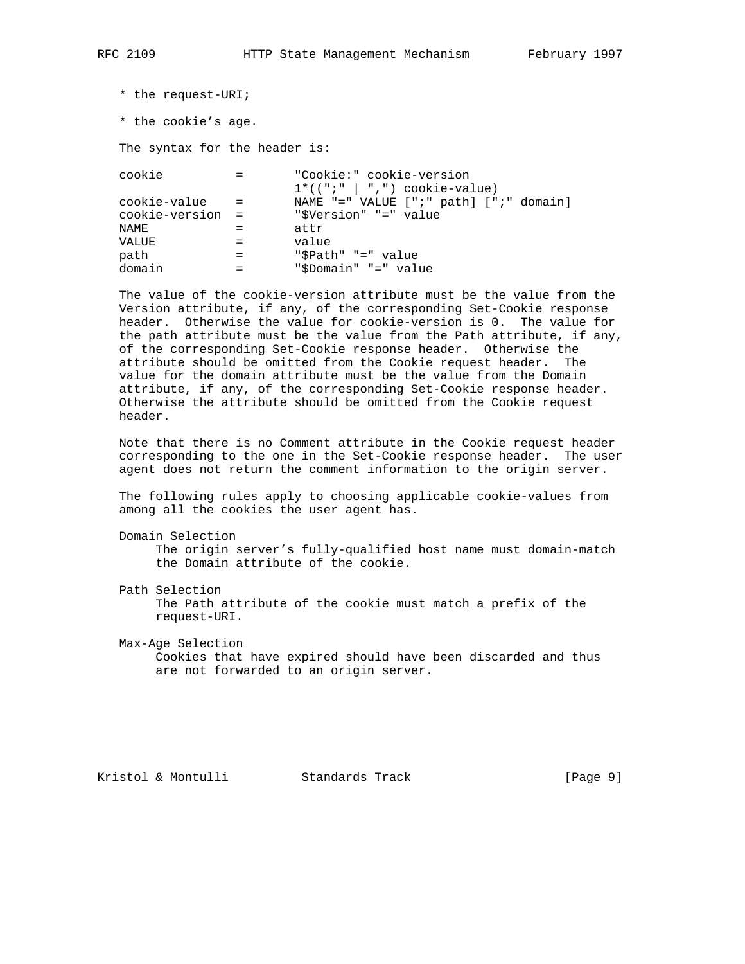```
 * the request-URI;
```
\* the cookie's age.

The syntax for the header is:

 cookie = "Cookie:" cookie-version  $1*(\n\begin{array}{cc} 1*(\n\begin{array}{cc} 1 \end{array}) & \ldots & 1*(\n\begin{array}{cc} 1 \end{array}) & \ldots & 1*(\n\begin{array}{cc} 1 \end{array}) & \ldots & 1*(\n\begin{array}{cc} 1 \end{array}) & \ldots & 1*(\n\begin{array}{cc} 1 \end{array}) & \ldots & 1*(\n\begin{array}{cc} 1 \end{array}) & \ldots & 1((\n\begin{array}{cc} 1 \end{array}) & \ldots & 1((\n\begin{array}{cc} 1 \end{array}) & \ldots & 1((\n\begin{array}{cc} 1 \end{$  cookie-value = NAME "=" VALUE [";" path] [";" domain] cookie-version = "\$Version" "=" value  $\begin{array}{ccc}\nNAME & = & \text{attr}\n\end{array}$  VALUE = value path = "\$Path" "=" value<br>domain = "\$Domain" "=" value "\$Domain" "=" value

 The value of the cookie-version attribute must be the value from the Version attribute, if any, of the corresponding Set-Cookie response header. Otherwise the value for cookie-version is 0. The value for the path attribute must be the value from the Path attribute, if any, of the corresponding Set-Cookie response header. Otherwise the attribute should be omitted from the Cookie request header. The value for the domain attribute must be the value from the Domain attribute, if any, of the corresponding Set-Cookie response header. Otherwise the attribute should be omitted from the Cookie request header.

 Note that there is no Comment attribute in the Cookie request header corresponding to the one in the Set-Cookie response header. The user agent does not return the comment information to the origin server.

 The following rules apply to choosing applicable cookie-values from among all the cookies the user agent has.

```
 Domain Selection
```
 The origin server's fully-qualified host name must domain-match the Domain attribute of the cookie.

Path Selection

 The Path attribute of the cookie must match a prefix of the request-URI.

 Max-Age Selection Cookies that have expired should have been discarded and thus are not forwarded to an origin server.

Kristol & Montulli Standards Track [Page 9]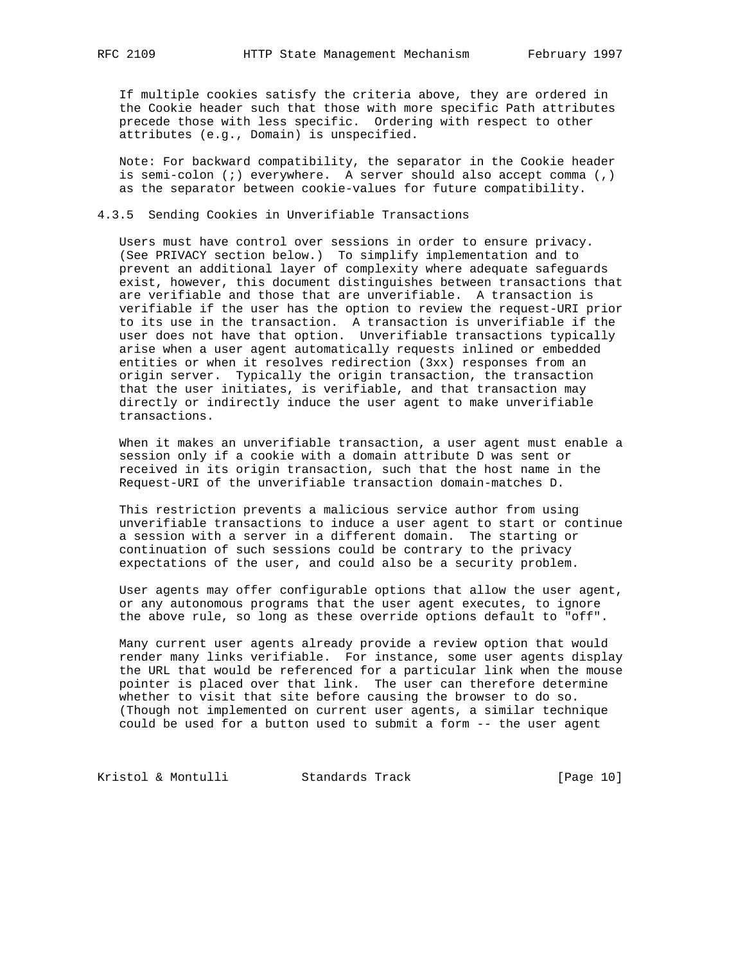If multiple cookies satisfy the criteria above, they are ordered in the Cookie header such that those with more specific Path attributes precede those with less specific. Ordering with respect to other attributes (e.g., Domain) is unspecified.

 Note: For backward compatibility, the separator in the Cookie header is semi-colon (;) everywhere. A server should also accept comma (,) as the separator between cookie-values for future compatibility.

### 4.3.5 Sending Cookies in Unverifiable Transactions

 Users must have control over sessions in order to ensure privacy. (See PRIVACY section below.) To simplify implementation and to prevent an additional layer of complexity where adequate safeguards exist, however, this document distinguishes between transactions that are verifiable and those that are unverifiable. A transaction is verifiable if the user has the option to review the request-URI prior to its use in the transaction. A transaction is unverifiable if the user does not have that option. Unverifiable transactions typically arise when a user agent automatically requests inlined or embedded entities or when it resolves redirection (3xx) responses from an origin server. Typically the origin transaction, the transaction that the user initiates, is verifiable, and that transaction may directly or indirectly induce the user agent to make unverifiable transactions.

 When it makes an unverifiable transaction, a user agent must enable a session only if a cookie with a domain attribute D was sent or received in its origin transaction, such that the host name in the Request-URI of the unverifiable transaction domain-matches D.

 This restriction prevents a malicious service author from using unverifiable transactions to induce a user agent to start or continue a session with a server in a different domain. The starting or continuation of such sessions could be contrary to the privacy expectations of the user, and could also be a security problem.

 User agents may offer configurable options that allow the user agent, or any autonomous programs that the user agent executes, to ignore the above rule, so long as these override options default to "off".

 Many current user agents already provide a review option that would render many links verifiable. For instance, some user agents display the URL that would be referenced for a particular link when the mouse pointer is placed over that link. The user can therefore determine whether to visit that site before causing the browser to do so. (Though not implemented on current user agents, a similar technique could be used for a button used to submit a form -- the user agent

Kristol & Montulli Standards Track [Page 10]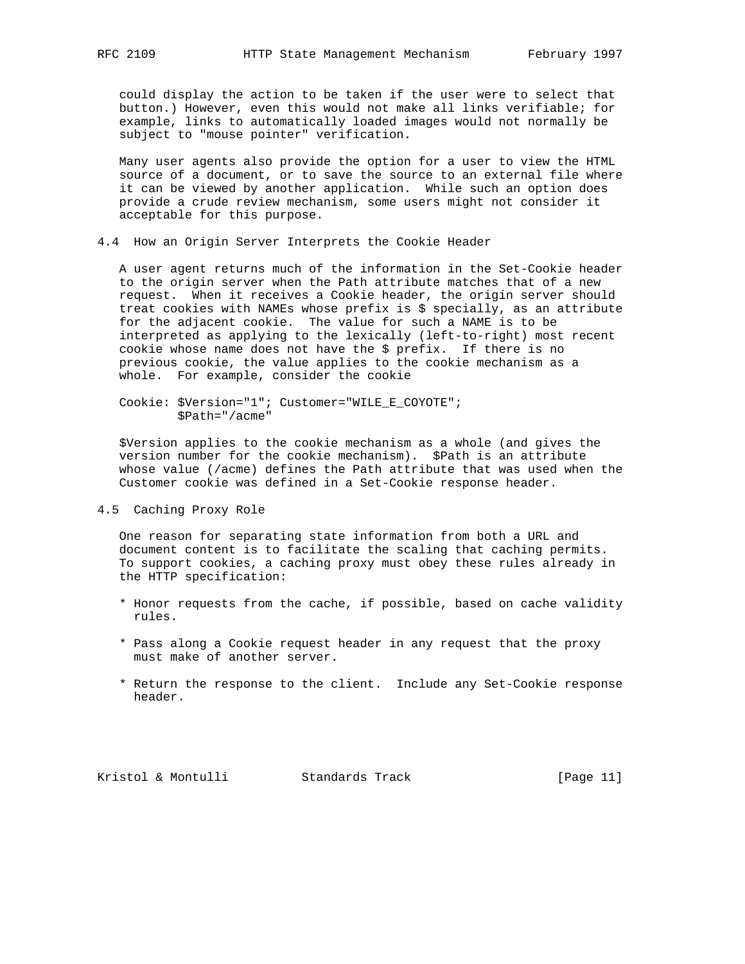could display the action to be taken if the user were to select that button.) However, even this would not make all links verifiable; for example, links to automatically loaded images would not normally be subject to "mouse pointer" verification.

 Many user agents also provide the option for a user to view the HTML source of a document, or to save the source to an external file where it can be viewed by another application. While such an option does provide a crude review mechanism, some users might not consider it acceptable for this purpose.

4.4 How an Origin Server Interprets the Cookie Header

 A user agent returns much of the information in the Set-Cookie header to the origin server when the Path attribute matches that of a new request. When it receives a Cookie header, the origin server should treat cookies with NAMEs whose prefix is \$ specially, as an attribute for the adjacent cookie. The value for such a NAME is to be interpreted as applying to the lexically (left-to-right) most recent cookie whose name does not have the \$ prefix. If there is no previous cookie, the value applies to the cookie mechanism as a whole. For example, consider the cookie

 Cookie: \$Version="1"; Customer="WILE\_E\_COYOTE"; \$Path="/acme"

 \$Version applies to the cookie mechanism as a whole (and gives the version number for the cookie mechanism). \$Path is an attribute whose value (/acme) defines the Path attribute that was used when the Customer cookie was defined in a Set-Cookie response header.

4.5 Caching Proxy Role

 One reason for separating state information from both a URL and document content is to facilitate the scaling that caching permits. To support cookies, a caching proxy must obey these rules already in the HTTP specification:

- \* Honor requests from the cache, if possible, based on cache validity rules.
- \* Pass along a Cookie request header in any request that the proxy must make of another server.
- \* Return the response to the client. Include any Set-Cookie response header.

Kristol & Montulli Standards Track [Page 11]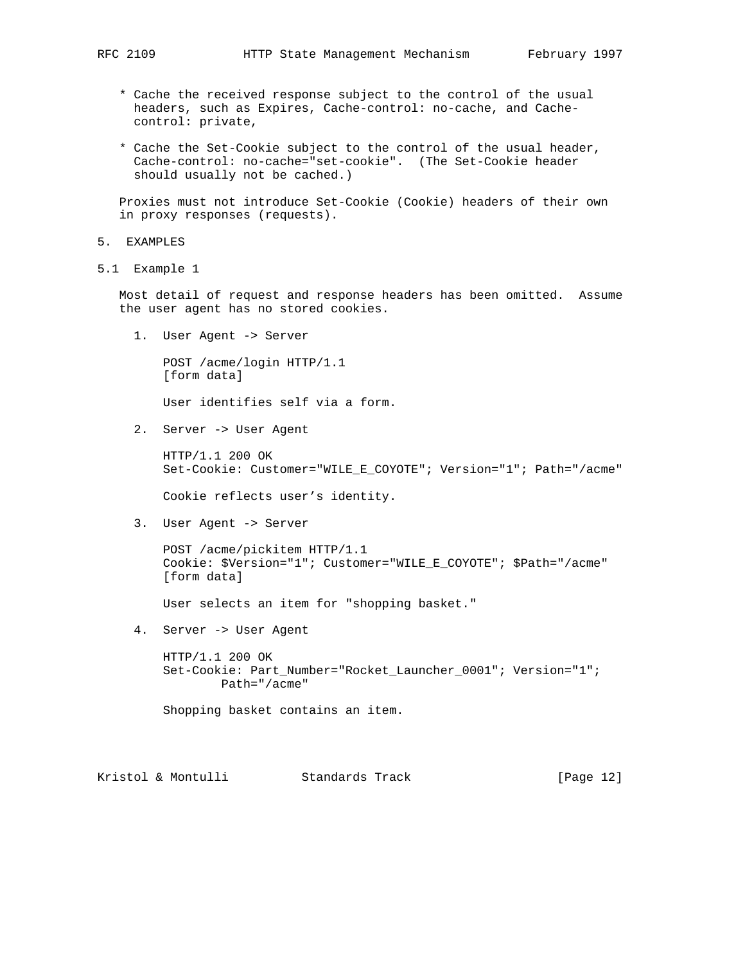- \* Cache the received response subject to the control of the usual headers, such as Expires, Cache-control: no-cache, and Cache control: private,
- \* Cache the Set-Cookie subject to the control of the usual header, Cache-control: no-cache="set-cookie". (The Set-Cookie header should usually not be cached.)

 Proxies must not introduce Set-Cookie (Cookie) headers of their own in proxy responses (requests).

- 5. EXAMPLES
- 5.1 Example 1

 Most detail of request and response headers has been omitted. Assume the user agent has no stored cookies.

1. User Agent -> Server

 POST /acme/login HTTP/1.1 [form data]

User identifies self via a form.

2. Server -> User Agent

 HTTP/1.1 200 OK Set-Cookie: Customer="WILE\_E\_COYOTE"; Version="1"; Path="/acme"

Cookie reflects user's identity.

3. User Agent -> Server

 POST /acme/pickitem HTTP/1.1 Cookie: \$Version="1"; Customer="WILE\_E\_COYOTE"; \$Path="/acme" [form data]

User selects an item for "shopping basket."

4. Server -> User Agent

 HTTP/1.1 200 OK Set-Cookie: Part\_Number="Rocket\_Launcher\_0001"; Version="1"; Path="/acme"

Shopping basket contains an item.

Kristol & Montulli Standards Track [Page 12]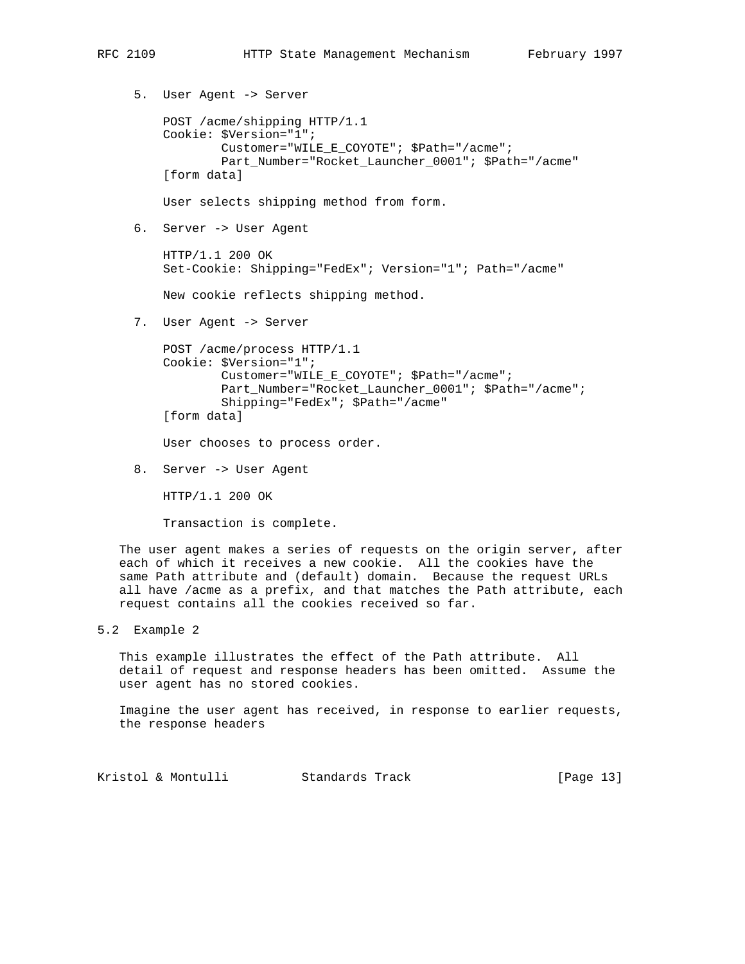5. User Agent -> Server POST /acme/shipping HTTP/1.1 Cookie: \$Version="1"; Customer="WILE\_E\_COYOTE"; \$Path="/acme"; Part\_Number="Rocket\_Launcher\_0001"; \$Path="/acme" [form data] User selects shipping method from form. 6. Server -> User Agent

 HTTP/1.1 200 OK Set-Cookie: Shipping="FedEx"; Version="1"; Path="/acme"

New cookie reflects shipping method.

7. User Agent -> Server

```
 POST /acme/process HTTP/1.1
Cookie: $Version="1";
        Customer="WILE_E_COYOTE"; $Path="/acme";
        Part_Number="Rocket_Launcher_0001"; $Path="/acme";
        Shipping="FedEx"; $Path="/acme"
[form data]
```
User chooses to process order.

8. Server -> User Agent

HTTP/1.1 200 OK

Transaction is complete.

 The user agent makes a series of requests on the origin server, after each of which it receives a new cookie. All the cookies have the same Path attribute and (default) domain. Because the request URLs all have /acme as a prefix, and that matches the Path attribute, each request contains all the cookies received so far.

5.2 Example 2

 This example illustrates the effect of the Path attribute. All detail of request and response headers has been omitted. Assume the user agent has no stored cookies.

 Imagine the user agent has received, in response to earlier requests, the response headers

Kristol & Montulli Standards Track [Page 13]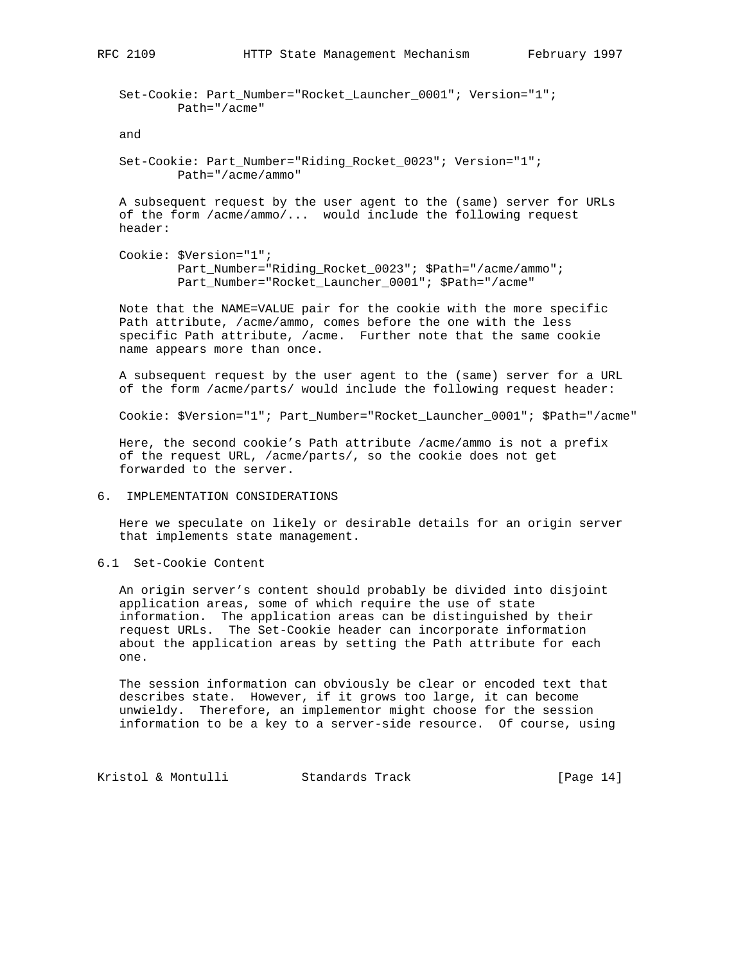Set-Cookie: Part\_Number="Rocket\_Launcher\_0001"; Version="1"; Path="/acme"

### and

 Set-Cookie: Part\_Number="Riding\_Rocket\_0023"; Version="1"; Path="/acme/ammo"

 A subsequent request by the user agent to the (same) server for URLs of the form /acme/ammo/... would include the following request header:

 Cookie: \$Version="1"; Part\_Number="Riding\_Rocket\_0023"; \$Path="/acme/ammo"; Part\_Number="Rocket\_Launcher\_0001"; \$Path="/acme"

 Note that the NAME=VALUE pair for the cookie with the more specific Path attribute, /acme/ammo, comes before the one with the less specific Path attribute, /acme. Further note that the same cookie name appears more than once.

 A subsequent request by the user agent to the (same) server for a URL of the form /acme/parts/ would include the following request header:

Cookie: \$Version="1"; Part\_Number="Rocket\_Launcher\_0001"; \$Path="/acme"

 Here, the second cookie's Path attribute /acme/ammo is not a prefix of the request URL, /acme/parts/, so the cookie does not get forwarded to the server.

# 6. IMPLEMENTATION CONSIDERATIONS

 Here we speculate on likely or desirable details for an origin server that implements state management.

6.1 Set-Cookie Content

 An origin server's content should probably be divided into disjoint application areas, some of which require the use of state information. The application areas can be distinguished by their request URLs. The Set-Cookie header can incorporate information about the application areas by setting the Path attribute for each one.

 The session information can obviously be clear or encoded text that describes state. However, if it grows too large, it can become unwieldy. Therefore, an implementor might choose for the session information to be a key to a server-side resource. Of course, using

Kristol & Montulli Standards Track [Page 14]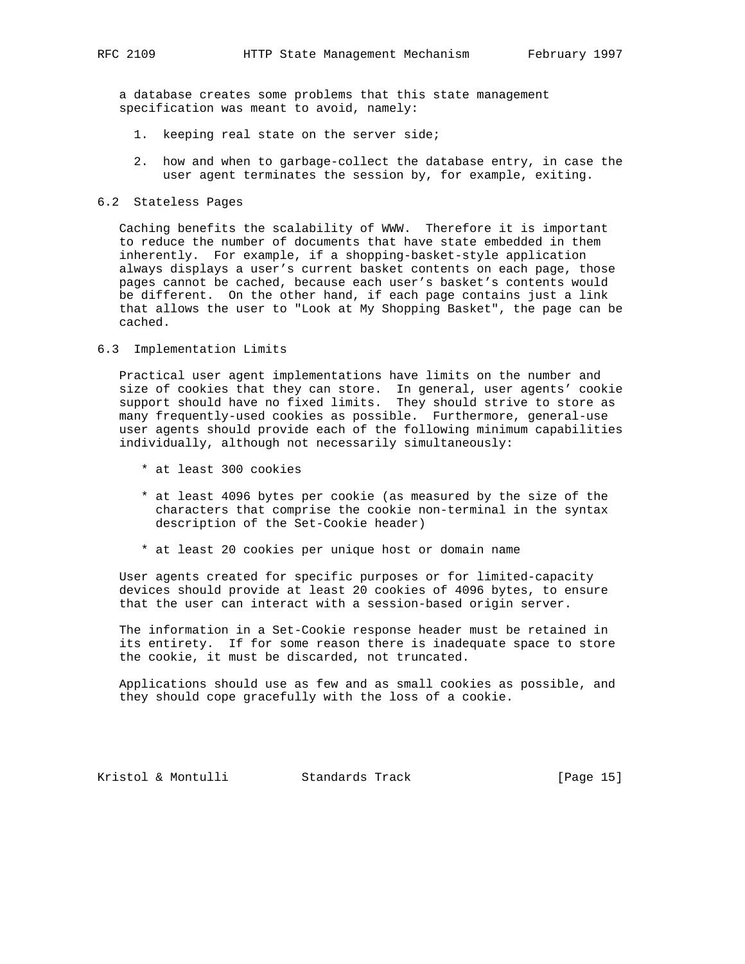a database creates some problems that this state management specification was meant to avoid, namely:

- 1. keeping real state on the server side;
- 2. how and when to garbage-collect the database entry, in case the user agent terminates the session by, for example, exiting.
- 6.2 Stateless Pages

 Caching benefits the scalability of WWW. Therefore it is important to reduce the number of documents that have state embedded in them inherently. For example, if a shopping-basket-style application always displays a user's current basket contents on each page, those pages cannot be cached, because each user's basket's contents would be different. On the other hand, if each page contains just a link that allows the user to "Look at My Shopping Basket", the page can be cached.

6.3 Implementation Limits

 Practical user agent implementations have limits on the number and size of cookies that they can store. In general, user agents' cookie support should have no fixed limits. They should strive to store as many frequently-used cookies as possible. Furthermore, general-use user agents should provide each of the following minimum capabilities individually, although not necessarily simultaneously:

- \* at least 300 cookies
- \* at least 4096 bytes per cookie (as measured by the size of the characters that comprise the cookie non-terminal in the syntax description of the Set-Cookie header)
- \* at least 20 cookies per unique host or domain name

 User agents created for specific purposes or for limited-capacity devices should provide at least 20 cookies of 4096 bytes, to ensure that the user can interact with a session-based origin server.

 The information in a Set-Cookie response header must be retained in its entirety. If for some reason there is inadequate space to store the cookie, it must be discarded, not truncated.

 Applications should use as few and as small cookies as possible, and they should cope gracefully with the loss of a cookie.

Kristol & Montulli Standards Track [Page 15]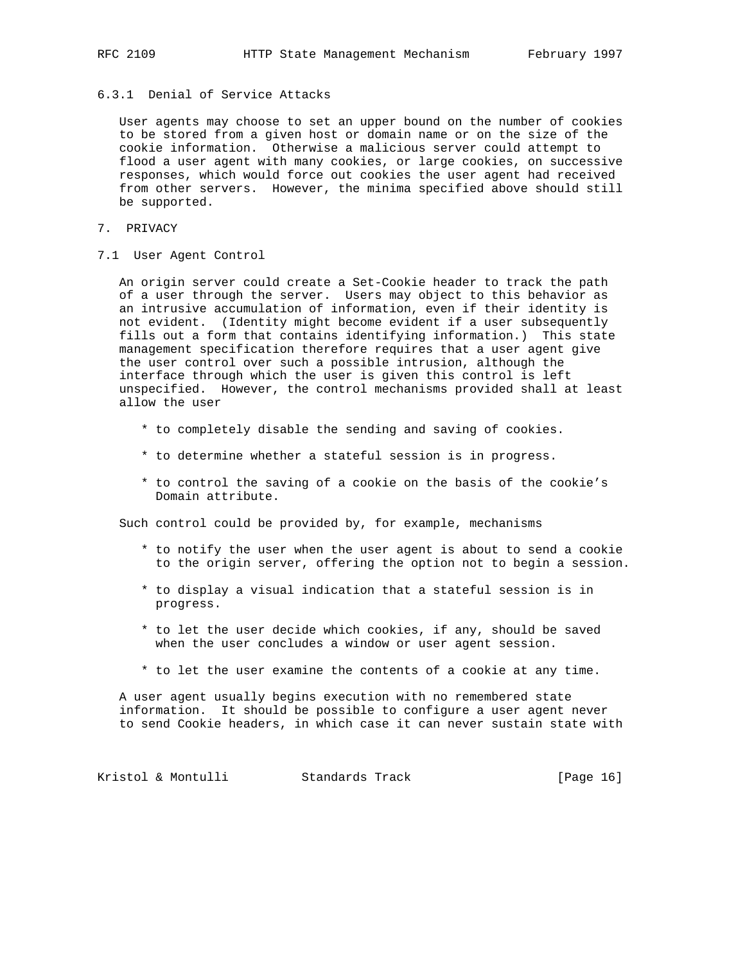6.3.1 Denial of Service Attacks

 User agents may choose to set an upper bound on the number of cookies to be stored from a given host or domain name or on the size of the cookie information. Otherwise a malicious server could attempt to flood a user agent with many cookies, or large cookies, on successive responses, which would force out cookies the user agent had received from other servers. However, the minima specified above should still be supported.

- 7. PRIVACY
- 7.1 User Agent Control

 An origin server could create a Set-Cookie header to track the path of a user through the server. Users may object to this behavior as an intrusive accumulation of information, even if their identity is not evident. (Identity might become evident if a user subsequently fills out a form that contains identifying information.) This state management specification therefore requires that a user agent give the user control over such a possible intrusion, although the interface through which the user is given this control is left unspecified. However, the control mechanisms provided shall at least allow the user

- \* to completely disable the sending and saving of cookies.
- \* to determine whether a stateful session is in progress.
- \* to control the saving of a cookie on the basis of the cookie's Domain attribute.

Such control could be provided by, for example, mechanisms

- \* to notify the user when the user agent is about to send a cookie to the origin server, offering the option not to begin a session.
- \* to display a visual indication that a stateful session is in progress.
- \* to let the user decide which cookies, if any, should be saved when the user concludes a window or user agent session.
- \* to let the user examine the contents of a cookie at any time.

 A user agent usually begins execution with no remembered state information. It should be possible to configure a user agent never to send Cookie headers, in which case it can never sustain state with

Kristol & Montulli Standards Track [Page 16]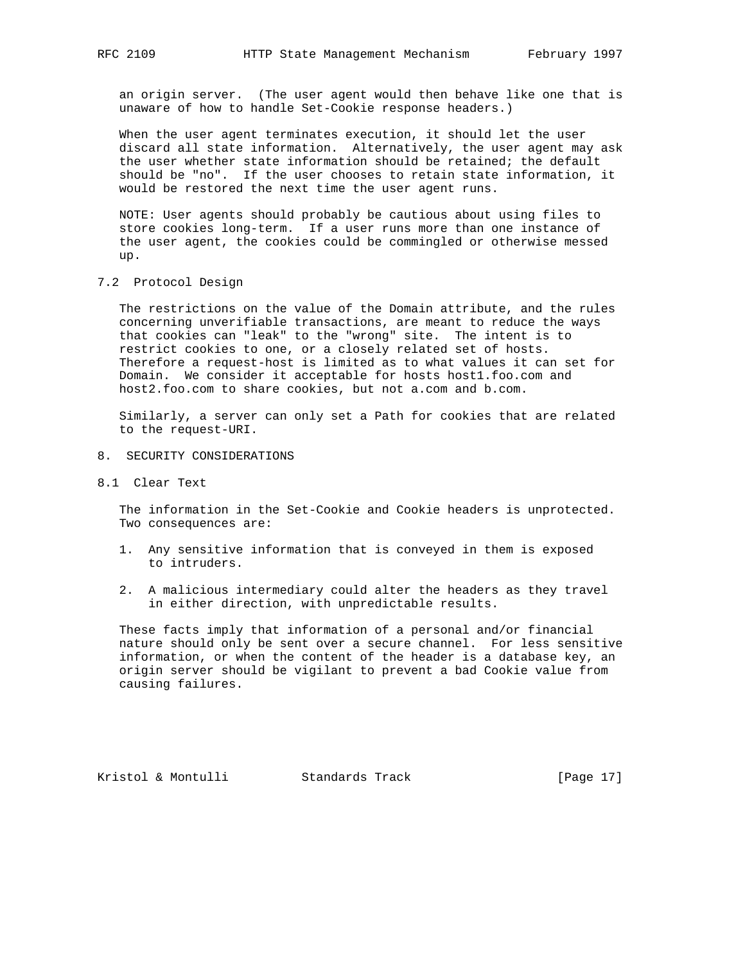an origin server. (The user agent would then behave like one that is unaware of how to handle Set-Cookie response headers.)

 When the user agent terminates execution, it should let the user discard all state information. Alternatively, the user agent may ask the user whether state information should be retained; the default should be "no". If the user chooses to retain state information, it would be restored the next time the user agent runs.

 NOTE: User agents should probably be cautious about using files to store cookies long-term. If a user runs more than one instance of the user agent, the cookies could be commingled or otherwise messed up.

7.2 Protocol Design

 The restrictions on the value of the Domain attribute, and the rules concerning unverifiable transactions, are meant to reduce the ways that cookies can "leak" to the "wrong" site. The intent is to restrict cookies to one, or a closely related set of hosts. Therefore a request-host is limited as to what values it can set for Domain. We consider it acceptable for hosts host1.foo.com and host2.foo.com to share cookies, but not a.com and b.com.

 Similarly, a server can only set a Path for cookies that are related to the request-URI.

- 8. SECURITY CONSIDERATIONS
- 8.1 Clear Text

 The information in the Set-Cookie and Cookie headers is unprotected. Two consequences are:

- 1. Any sensitive information that is conveyed in them is exposed to intruders.
- 2. A malicious intermediary could alter the headers as they travel in either direction, with unpredictable results.

 These facts imply that information of a personal and/or financial nature should only be sent over a secure channel. For less sensitive information, or when the content of the header is a database key, an origin server should be vigilant to prevent a bad Cookie value from causing failures.

Kristol & Montulli Standards Track [Page 17]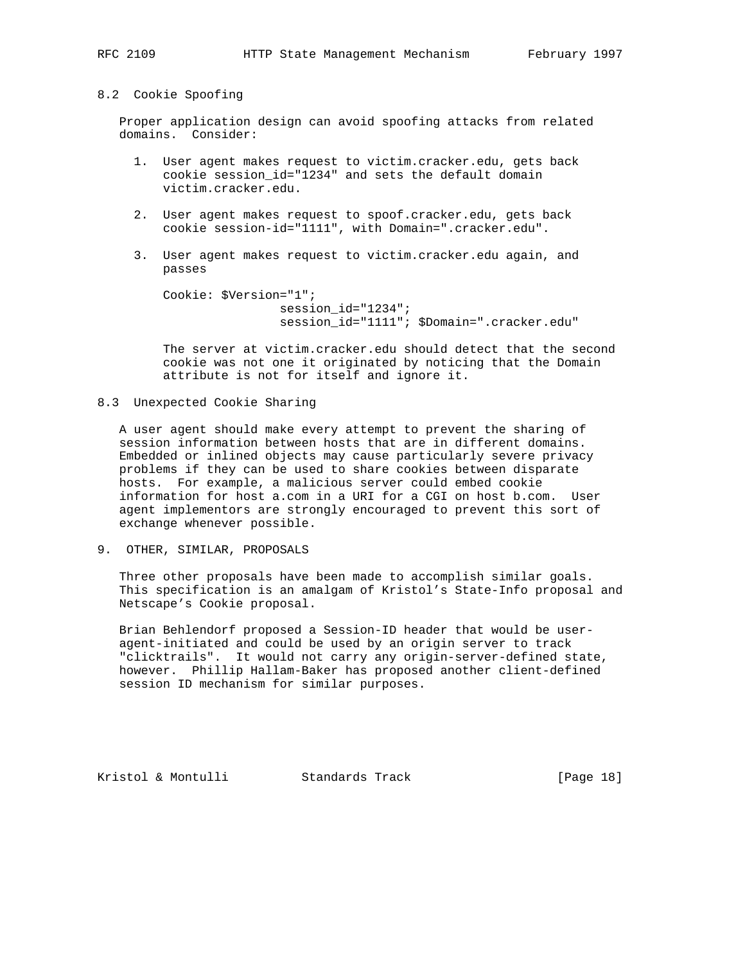8.2 Cookie Spoofing

 Proper application design can avoid spoofing attacks from related domains. Consider:

- 1. User agent makes request to victim.cracker.edu, gets back cookie session\_id="1234" and sets the default domain victim.cracker.edu.
- 2. User agent makes request to spoof.cracker.edu, gets back cookie session-id="1111", with Domain=".cracker.edu".
- 3. User agent makes request to victim.cracker.edu again, and passes

```
 Cookie: $Version="1";
                session_id="1234";
                session_id="1111"; $Domain=".cracker.edu"
```
 The server at victim.cracker.edu should detect that the second cookie was not one it originated by noticing that the Domain attribute is not for itself and ignore it.

## 8.3 Unexpected Cookie Sharing

 A user agent should make every attempt to prevent the sharing of session information between hosts that are in different domains. Embedded or inlined objects may cause particularly severe privacy problems if they can be used to share cookies between disparate hosts. For example, a malicious server could embed cookie information for host a.com in a URI for a CGI on host b.com. User agent implementors are strongly encouraged to prevent this sort of exchange whenever possible.

9. OTHER, SIMILAR, PROPOSALS

 Three other proposals have been made to accomplish similar goals. This specification is an amalgam of Kristol's State-Info proposal and Netscape's Cookie proposal.

 Brian Behlendorf proposed a Session-ID header that would be user agent-initiated and could be used by an origin server to track "clicktrails". It would not carry any origin-server-defined state, however. Phillip Hallam-Baker has proposed another client-defined session ID mechanism for similar purposes.

Kristol & Montulli Standards Track [Page 18]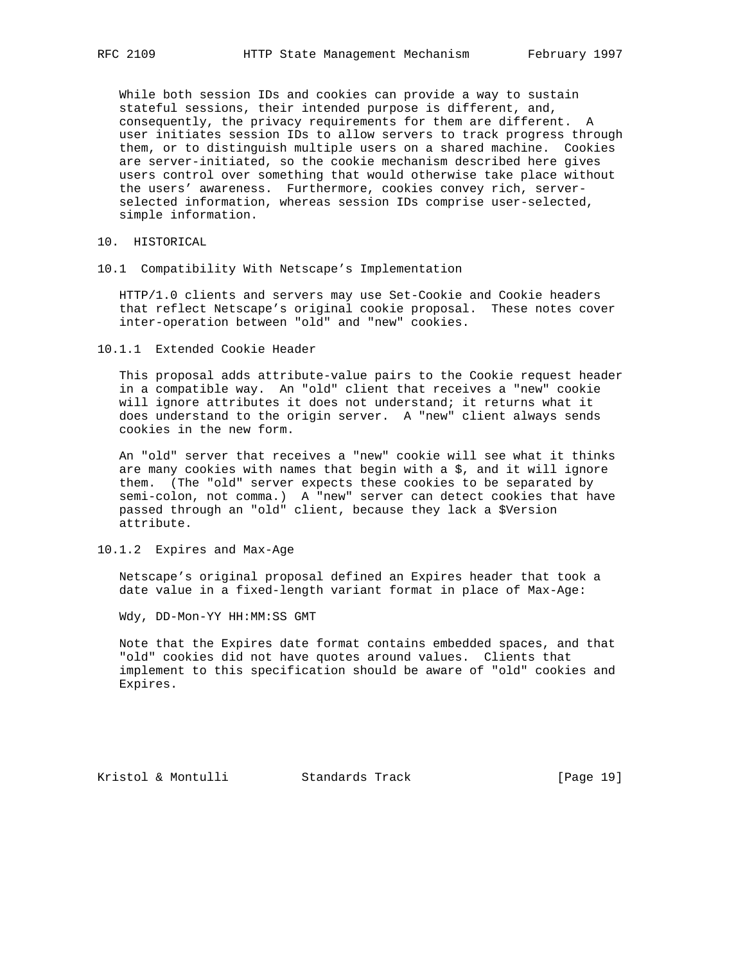While both session IDs and cookies can provide a way to sustain stateful sessions, their intended purpose is different, and, consequently, the privacy requirements for them are different. A user initiates session IDs to allow servers to track progress through them, or to distinguish multiple users on a shared machine. Cookies are server-initiated, so the cookie mechanism described here gives users control over something that would otherwise take place without the users' awareness. Furthermore, cookies convey rich, server selected information, whereas session IDs comprise user-selected, simple information.

- 10. HISTORICAL
- 10.1 Compatibility With Netscape's Implementation

 HTTP/1.0 clients and servers may use Set-Cookie and Cookie headers that reflect Netscape's original cookie proposal. These notes cover inter-operation between "old" and "new" cookies.

10.1.1 Extended Cookie Header

 This proposal adds attribute-value pairs to the Cookie request header in a compatible way. An "old" client that receives a "new" cookie will ignore attributes it does not understand; it returns what it does understand to the origin server. A "new" client always sends cookies in the new form.

 An "old" server that receives a "new" cookie will see what it thinks are many cookies with names that begin with a  $$$ , and it will ignore them. (The "old" server expects these cookies to be separated by semi-colon, not comma.) A "new" server can detect cookies that have passed through an "old" client, because they lack a \$Version attribute.

10.1.2 Expires and Max-Age

 Netscape's original proposal defined an Expires header that took a date value in a fixed-length variant format in place of Max-Age:

Wdy, DD-Mon-YY HH:MM:SS GMT

 Note that the Expires date format contains embedded spaces, and that "old" cookies did not have quotes around values. Clients that implement to this specification should be aware of "old" cookies and Expires.

Kristol & Montulli Standards Track [Page 19]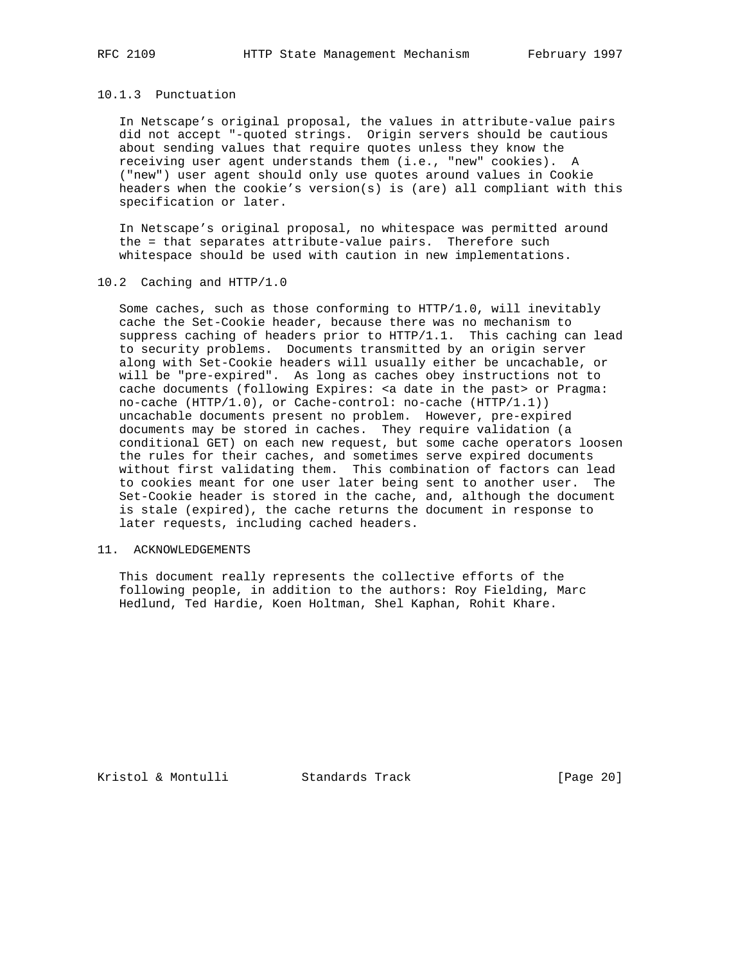## 10.1.3 Punctuation

 In Netscape's original proposal, the values in attribute-value pairs did not accept "-quoted strings. Origin servers should be cautious about sending values that require quotes unless they know the receiving user agent understands them (i.e., "new" cookies). A ("new") user agent should only use quotes around values in Cookie headers when the cookie's version(s) is (are) all compliant with this specification or later.

 In Netscape's original proposal, no whitespace was permitted around the = that separates attribute-value pairs. Therefore such whitespace should be used with caution in new implementations.

### 10.2 Caching and HTTP/1.0

 Some caches, such as those conforming to HTTP/1.0, will inevitably cache the Set-Cookie header, because there was no mechanism to suppress caching of headers prior to HTTP/1.1. This caching can lead to security problems. Documents transmitted by an origin server along with Set-Cookie headers will usually either be uncachable, or will be "pre-expired". As long as caches obey instructions not to cache documents (following Expires: <a date in the past> or Pragma: no-cache (HTTP/1.0), or Cache-control: no-cache (HTTP/1.1)) uncachable documents present no problem. However, pre-expired documents may be stored in caches. They require validation (a conditional GET) on each new request, but some cache operators loosen the rules for their caches, and sometimes serve expired documents without first validating them. This combination of factors can lead to cookies meant for one user later being sent to another user. The Set-Cookie header is stored in the cache, and, although the document is stale (expired), the cache returns the document in response to later requests, including cached headers.

#### 11. ACKNOWLEDGEMENTS

 This document really represents the collective efforts of the following people, in addition to the authors: Roy Fielding, Marc Hedlund, Ted Hardie, Koen Holtman, Shel Kaphan, Rohit Khare.

Kristol & Montulli Standards Track [Page 20]